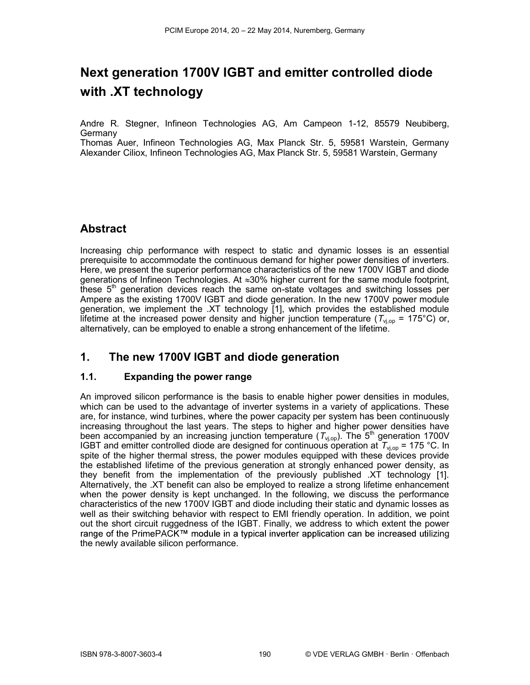# Next generation 1700V IGBT and emitter controlled diode with .XT technology

Andre R. Stegner, Infineon Technologies AG, Am Campeon 1-12, 85579 Neubiberg, **Germany** 

Thomas Auer, Infineon Technologies AG, Max Planck Str. 5, 59581 Warstein, Germany Alexander Ciliox, Infineon Technologies AG, Max Planck Str. 5, 59581 Warstein, Germany

## Abstract

Increasing chip performance with respect to static and dynamic losses is an essential prerequisite to accommodate the continuous demand for higher power densities of inverters. Here, we present the superior performance characteristics of the new 1700V IGBT and diode generations of Infineon Technologies. At  $\approx 30\%$  higher current for the same module footprint, these  $5<sup>th</sup>$  generation devices reach the same on-state voltages and switching losses per Ampere as the existing 1700V IGBT and diode generation. In the new 1700V power module generation, we implement the .XT technology [1], which provides the established module lifetime at the increased power density and higher junction temperature ( $T_{\text{vion}}$  = 175°C) or, alternatively, can be employed to enable a strong enhancement of the lifetime.

## 1. The new 1700V IGBT and diode generation

#### 1.1. Expanding the power range

An improved silicon performance is the basis to enable higher power densities in modules, which can be used to the advantage of inverter systems in a variety of applications. These are, for instance, wind turbines, where the power capacity per system has been continuously increasing throughout the last years. The steps to higher and higher power densities have been accompanied by an increasing junction temperature ( $T_{\text{v}_j, \text{op}}$ ). The 5<sup>th</sup> generation 1700V IGBT and emitter controlled diode are designed for continuous operation at  $T_{\text{v}_1,\text{op}}$  = 175 °C. In spite of the higher thermal stress, the power modules equipped with these devices provide the established lifetime of the previous generation at strongly enhanced power density, as they benefit from the implementation of the previously published .XT technology [1]. Alternatively, the .XT benefit can also be employed to realize a strong lifetime enhancement when the power density is kept unchanged. In the following, we discuss the performance characteristics of the new 1700V IGBT and diode including their static and dynamic losses as well as their switching behavior with respect to EMI friendly operation. In addition, we point out the short circuit ruggedness of the IGBT. Finally, we address to which extent the power range of the PrimePACK™ module in a typical inverter application can be increased utilizing the newly available silicon performance.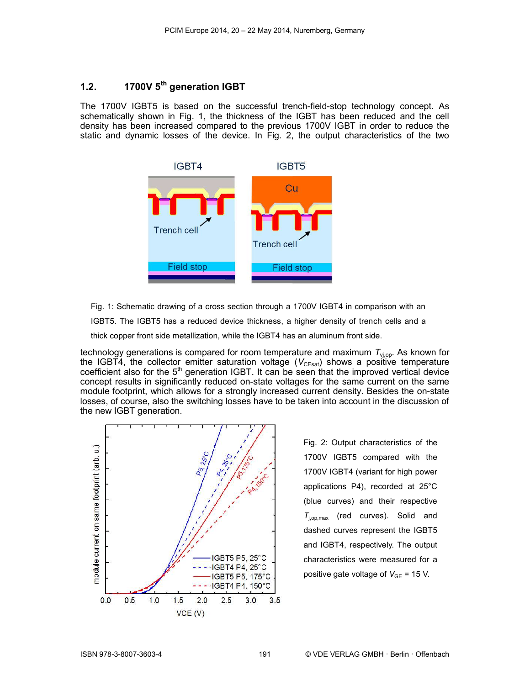## 1.2.  $1700V$  5<sup>th</sup> generation IGBT

The 1700V IGBT5 is based on the successful trench-field-stop technology concept. As schematically shown in Fig. 1, the thickness of the IGBT has been reduced and the cell density has been increased compared to the previous 1700V IGBT in order to reduce the static and dynamic losses of the device. In Fig. 2, the output characteristics of the two



Fig. 1: Schematic drawing of a cross section through a 1700V IGBT4 in comparison with an IGBT5. The IGBT5 has a reduced device thickness, a higher density of trench cells and a thick copper front side metallization, while the IGBT4 has an aluminum front side.

technology generations is compared for room temperature and maximum  $T_{\text{viop}}$ . As known for the IGBT4, the collector emitter saturation voltage ( $V_{CEsat}$ ) shows a positive temperature coefficient also for the  $5<sup>th</sup>$  generation IGBT. It can be seen that the improved vertical device concept results in significantly reduced on-state voltages for the same current on the same module footprint, which allows for a strongly increased current density. Besides the on-state losses, of course, also the switching losses have to be taken into account in the discussion of the new IGBT generation.



Fig. 2: Output characteristics of the 1700V IGBT5 compared with the 1700V IGBT4 (variant for high power applications P4), recorded at 25°C (blue curves) and their respective  $T_{\text{ion,max}}$  (red curves). Solid and dashed curves represent the IGBT5 and IGBT4, respectively. The output characteristics were measured for a positive gate voltage of  $V_{GE}$  = 15 V.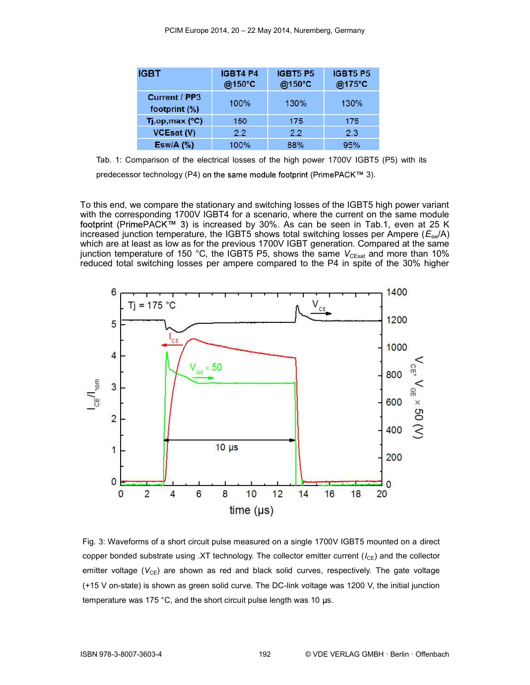| <b>IGBT</b>                           | <b>IGBT4 P4</b><br>@150°C | <b>IGBT5 P5</b><br>@150°C | <b>IGBT5 P5</b><br>@175°C |
|---------------------------------------|---------------------------|---------------------------|---------------------------|
| <b>Current / PP3</b><br>footprint (%) | 100%                      | 130%                      | 130%                      |
| Tj, op, max (°C)                      | 150                       | 175                       | 175                       |
| <b>VCEsat (V)</b>                     | 22                        | 2.2                       | 2.3                       |
| $Esw/A$ (%)                           | 100%                      | 88%                       | 95%                       |

Tab. 1: Comparison of the electrical losses of the high power 1700V IGBT5 (P5) with its

predecessor technology (P4) on the same module footprint (PrimePACK™ 3).

To this end, we compare the stationary and switching losses of the IGBT5 high power variant with the corresponding 1700V IGBT4 for a scenario, where the current on the same module footprint (PrimePACK™ 3) is increased by 30%. As can be seen in Tab.1, even at 25 K increased junction temperature, the IGBT5 shows total switching losses per Ampere  $(E<sub>sw</sub>/A)$ which are at least as low as for the previous 1700V IGBT generation. Compared at the same junction temperature of 150 °C, the IGBT5 P5, shows the same  $V_{\text{CEsat}}$  and more than 10% reduced total switching losses per ampere compared to the P4 in spite of the 30% higher



Fig. 3: Waveforms of a short circuit pulse measured on a single 1700V IGBT5 mounted on a direct copper bonded substrate using .XT technology. The collector emitter current ( $I_{CE}$ ) and the collector emitter voltage ( $V_{CE}$ ) are shown as red and black solid curves, respectively. The gate voltage (+15 V on-state) is shown as green solid curve. The DC-link voltage was 1200 V, the initial junction temperature was 175 °C, and the short circuit pulse length was 10  $\mu$ s.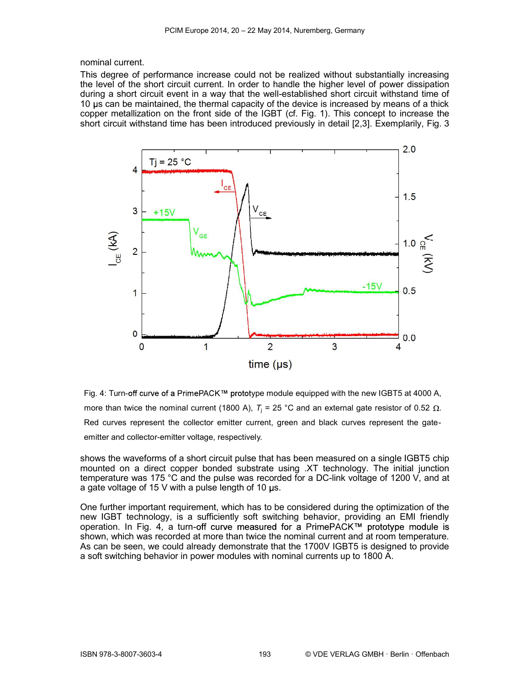nominal current.

This degree of performance increase could not be realized without substantially increasing the level of the short circuit current. In order to handle the higher level of power dissipation during a short circuit event in a way that the well-established short circuit withstand time of 10 us can be maintained, the thermal capacity of the device is increased by means of a thick copper metallization on the front side of the IGBT (cf. Fig. 1). This concept to increase the short circuit withstand time has been introduced previously in detail [2,3]. Exemplarily, Fig. 3



Fig. 4: Turn-off curve of a PrimePACK™ prototype module equipped with the new IGBT5 at 4000 A, more than twice the nominal current (1800 A),  $T<sub>i</sub> = 25$  °C and an external gate resistor of 0.52  $\Omega$ . Red curves represent the collector emitter current, green and black curves represent the gateemitter and collector-emitter voltage, respectively.

shows the waveforms of a short circuit pulse that has been measured on a single IGBT5 chip mounted on a direct copper bonded substrate using .XT technology. The initial junction temperature was 175 °C and the pulse was recorded for a DC-link voltage of 1200 V, and at a gate voltage of 15 V with a pulse length of 10  $\mu$ s.

One further important requirement, which has to be considered during the optimization of the new IGBT technology, is a sufficiently soft switching behavior, providing an EMI friendly operation. In Fig. 4, a turn-off curve measured for a PrimePACK™ prototype module is shown, which was recorded at more than twice the nominal current and at room temperature. As can be seen, we could already demonstrate that the 1700V IGBT5 is designed to provide a soft switching behavior in power modules with nominal currents up to 1800 A.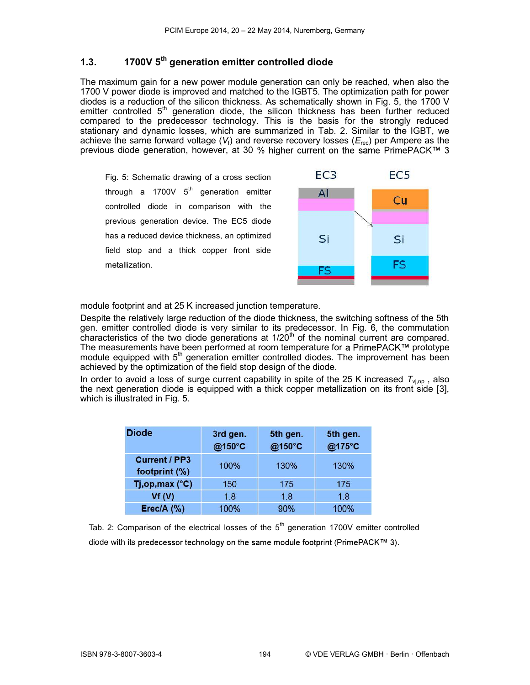#### 1.3. 1700V 5<sup>th</sup> generation emitter controlled diode

The maximum gain for a new power module generation can only be reached, when also the 1700 V power diode is improved and matched to the IGBT5. The optimization path for power diodes is a reduction of the silicon thickness. As schematically shown in Fig. 5, the 1700 V emitter controlled  $5<sup>th</sup>$  generation diode, the silicon thickness has been further reduced compared to the predecessor technology. This is the basis for the strongly reduced stationary and dynamic losses, which are summarized in Tab. 2. Similar to the IGBT, we achieve the same forward voltage ( $V_f$ ) and reverse recovery losses ( $E_{\text{rec}}$ ) per Ampere as the previous diode generation, however, at 30 % higher current on the same PrimePACK™ 3

Fig. 5: Schematic drawing of a cross section through a 1700V  $5<sup>th</sup>$  generation emitter controlled diode in comparison with the previous generation device. The EC5 diode has a reduced device thickness, an optimized field stop and a thick copper front side metallization.



module footprint and at 25 K increased junction temperature.

Despite the relatively large reduction of the diode thickness, the switching softness of the 5th gen. emitter controlled diode is very similar to its predecessor. In Fig. 6, the commutation characteristics of the two diode generations at  $1/20<sup>th</sup>$  of the nominal current are compared. The measurements have been performed at room temperature for a PrimePACK™ prototype module equipped with  $5<sup>th</sup>$  generation emitter controlled diodes. The improvement has been achieved by the optimization of the field stop design of the diode.

In order to avoid a loss of surge current capability in spite of the 25 K increased  $T_{\text{vi,op}}$ , also the next generation diode is equipped with a thick copper metallization on its front side [3], which is illustrated in Fig. 5.

| <b>Diode</b>                          | 3rd gen.<br>@150°C | 5th gen.<br>@150°C | 5th gen.<br>@175°C |
|---------------------------------------|--------------------|--------------------|--------------------|
| <b>Current / PP3</b><br>footprint (%) | 100%               | 130%               | 130%               |
| Tj,op,max (°C)                        | 150                | 175                | 175                |
| Vf(V)                                 | 18                 | 18                 | 18                 |
| Erec/A $(%)$                          | 100%               | 90%                | 100%               |

Tab. 2: Comparison of the electrical losses of the  $5<sup>th</sup>$  generation 1700V emitter controlled diode with its predecessor technology on the same module footprint (PrimePACK™ 3).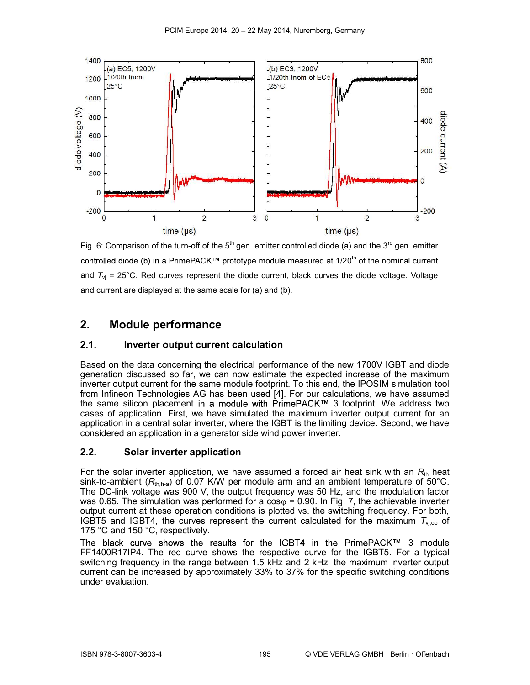

Fig. 6: Comparison of the turn-off of the  $5<sup>th</sup>$  gen. emitter controlled diode (a) and the  $3<sup>rd</sup>$  gen. emitter controlled diode (b) in a PrimePACK<sup>™</sup> prototype module measured at  $1/20<sup>th</sup>$  of the nominal current and  $T_{\text{vj}}$  = 25°C. Red curves represent the diode current, black curves the diode voltage. Voltage and current are displayed at the same scale for (a) and (b).

## 2. Module performance

#### 2.1. Inverter output current calculation

Based on the data concerning the electrical performance of the new 1700V IGBT and diode generation discussed so far, we can now estimate the expected increase of the maximum inverter output current for the same module footprint. To this end, the IPOSIM simulation tool from Infineon Technologies AG has been used [4]. For our calculations, we have assumed the same silicon placement in a module with PrimePACK $\mathbb{M}$  3 footprint. We address two cases of application. First, we have simulated the maximum inverter output current for an application in a central solar inverter, where the IGBT is the limiting device. Second, we have considered an application in a generator side wind power inverter.

#### 2.2. Solar inverter application

For the solar inverter application, we have assumed a forced air heat sink with an  $R_{\text{th}}$  heat sink-to-ambient ( $R_{\text{th-h-a}}$ ) of 0.07 K/W per module arm and an ambient temperature of 50°C. The DC-link voltage was 900 V, the output frequency was 50 Hz, and the modulation factor was 0.65. The simulation was performed for a  $cos \varphi = 0.90$ . In Fig. 7, the achievable inverter output current at these operation conditions is plotted vs. the switching frequency. For both, IGBT5 and IGBT4, the curves represent the current calculated for the maximum  $T_{\text{v}_i,\text{op}}$  of 175 °C and 150 °C, respectively.

The black curve shows the results for the IGBT4 in the PrimePACK™ 3 module FF1400R17IP4. The red curve shows the respective curve for the IGBT5. For a typical switching frequency in the range between 1.5 kHz and 2 kHz, the maximum inverter output current can be increased by approximately 33% to 37% for the specific switching conditions under evaluation.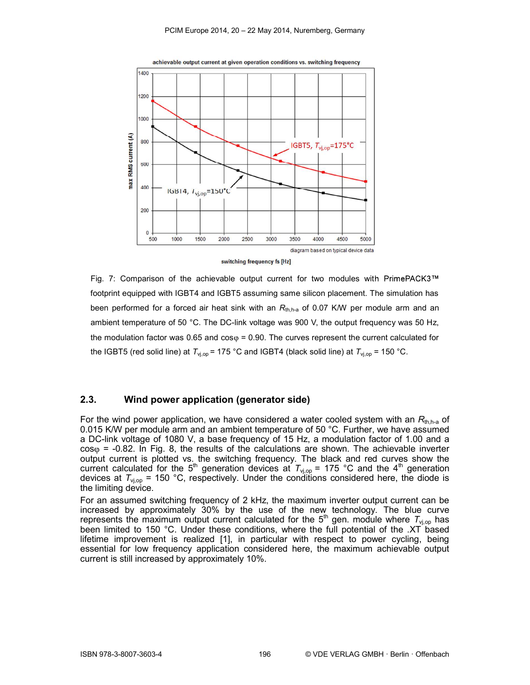

switching frequency fs [Hz]

Fig. 7: Comparison of the achievable output current for two modules with PrimePACK3™ footprint equipped with IGBT4 and IGBT5 assuming same silicon placement. The simulation has been performed for a forced air heat sink with an  $R_{th,h-a}$  of 0.07 K/W per module arm and an ambient temperature of 50 °C. The DC-link voltage was 900 V, the output frequency was 50 Hz, the modulation factor was 0.65 and  $cos \varphi = 0.90$ . The curves represent the current calculated for the IGBT5 (red solid line) at  $T_{\text{vj,op}}$  = 175 °C and IGBT4 (black solid line) at  $T_{\text{vj,op}}$  = 150 °C.

#### 2.3. Wind power application (generator side)

For the wind power application, we have considered a water cooled system with an  $R_{\text{th, h-a}}$  of 0.015 K/W per module arm and an ambient temperature of 50 °C. Further, we have assumed a DC-link voltage of 1080 V, a base frequency of 15 Hz, a modulation factor of 1.00 and a  $cos\varphi = -0.82$ . In Fig. 8, the results of the calculations are shown. The achievable inverter output current is plotted vs. the switching frequency. The black and red curves show the current calculated for the 5<sup>th</sup> generation devices at  $T_{\text{vi,op}}$  = 175 °C and the 4<sup>th</sup> generation devices at  $T_{\text{v}_1,\text{op}}$  = 150 °C, respectively. Under the conditions considered here, the diode is the limiting device.

For an assumed switching frequency of 2 kHz, the maximum inverter output current can be increased by approximately 30% by the use of the new technology. The blue curve represents the maximum output current calculated for the 5<sup>th</sup> gen. module where  $T_{\text{vi,op}}$  has been limited to 150 °C. Under these conditions, where the full potential of the .XT based lifetime improvement is realized [1], in particular with respect to power cycling, being essential for low frequency application considered here, the maximum achievable output current is still increased by approximately 10%.